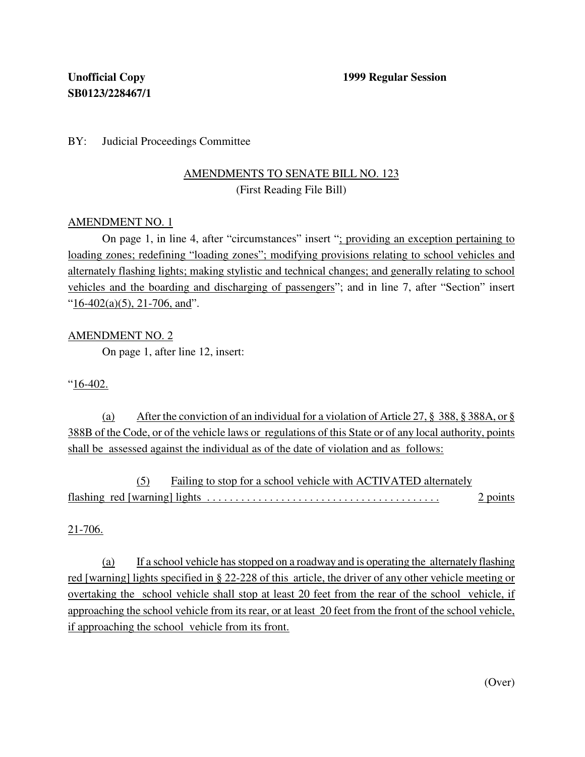### BY: Judicial Proceedings Committee

# AMENDMENTS TO SENATE BILL NO. 123 (First Reading File Bill)

#### AMENDMENT NO. 1

On page 1, in line 4, after "circumstances" insert "; providing an exception pertaining to loading zones; redefining "loading zones"; modifying provisions relating to school vehicles and alternately flashing lights; making stylistic and technical changes; and generally relating to school vehicles and the boarding and discharging of passengers"; and in line 7, after "Section" insert " $16-402(a)(5)$ , 21-706, and".

## AMENDMENT NO. 2

On page 1, after line 12, insert:

"16-402.

(a) After the conviction of an individual for a violation of Article 27, § 388, § 388A, or § 388B of the Code, or of the vehicle laws or regulations of this State or of any local authority, points shall be assessed against the individual as of the date of violation and as follows:

(5) Failing to stop for a school vehicle with ACTIVATED alternately flashing red [warning] lights . . . . . . . . . . . . . . . . . . . . . . . . . . . . . . . . . . . . . . . . . 2 points

#### $21 - 706.$

(a) If a school vehicle hasstopped on a roadway and is operating the alternately flashing red [warning] lights specified in § 22-228 of this article, the driver of any other vehicle meeting or overtaking the school vehicle shall stop at least 20 feet from the rear of the school vehicle, if approaching the school vehicle from its rear, or at least 20 feet from the front of the school vehicle, if approaching the school vehicle from its front.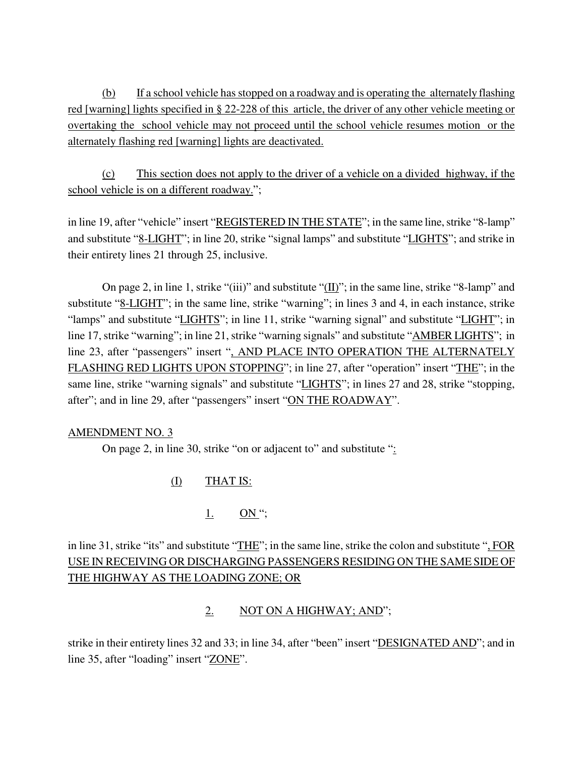(b) If a school vehicle has stopped on a roadway and is operating the alternately flashing red [warning] lights specified in § 22-228 of this article, the driver of any other vehicle meeting or overtaking the school vehicle may not proceed until the school vehicle resumes motion or the alternately flashing red [warning] lights are deactivated.

(c) This section does not apply to the driver of a vehicle on a divided highway, if the school vehicle is on a different roadway.";

in line 19, after "vehicle" insert "REGISTERED IN THE STATE"; in the same line, strike "8-lamp" and substitute "8-LIGHT"; in line 20, strike "signal lamps" and substitute "LIGHTS"; and strike in their entirety lines 21 through 25, inclusive.

On page 2, in line 1, strike "(iii)" and substitute " $(\underline{II})$ "; in the same line, strike "8-lamp" and substitute "8-LIGHT"; in the same line, strike "warning"; in lines 3 and 4, in each instance, strike "lamps" and substitute "LIGHTS"; in line 11, strike "warning signal" and substitute "LIGHT"; in line 17, strike "warning"; in line 21, strike "warning signals" and substitute "AMBER LIGHTS"; in line 23, after "passengers" insert ", AND PLACE INTO OPERATION THE ALTERNATELY FLASHING RED LIGHTS UPON STOPPING"; in line 27, after "operation" insert "THE"; in the same line, strike "warning signals" and substitute "LIGHTS"; in lines 27 and 28, strike "stopping, after"; and in line 29, after "passengers" insert "ON THE ROADWAY".

## AMENDMENT NO. 3

On page 2, in line 30, strike "on or adjacent to" and substitute ":

(I) THAT IS:

# 1. ON ";

in line 31, strike "its" and substitute "THE"; in the same line, strike the colon and substitute ", FOR USE IN RECEIVING OR DISCHARGING PASSENGERS RESIDING ON THE SAME SIDE OF THE HIGHWAY AS THE LOADING ZONE; OR

## 2. NOT ON A HIGHWAY; AND";

strike in their entirety lines 32 and 33; in line 34, after "been" insert "DESIGNATED AND"; and in line 35, after "loading" insert "ZONE".